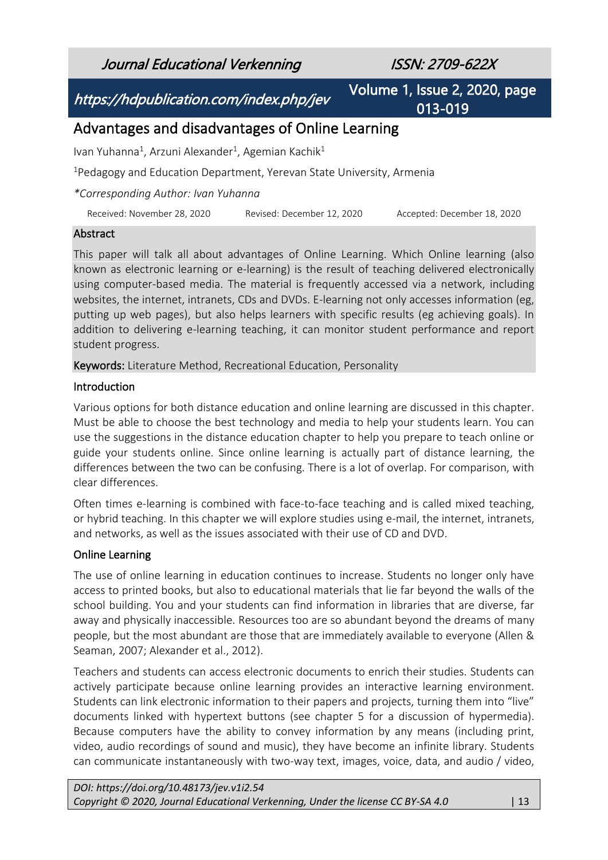Journal Educational Verkenning ISSN: 2709-622X

https://hdpublication.com/index.php/jev

Volume 1, Issue 2, 2020, page 013-019

# Advantages and disadvantages of Online Learning

Ivan Yuhanna<sup>1</sup>, Arzuni Alexander<sup>1</sup>, Agemian Kachik<sup>1</sup>

<sup>1</sup>Pedagogy and Education Department, Yerevan State University, Armenia

*\*Corresponding Author: Ivan Yuhanna*

Received: November 28, 2020 Revised: December 12, 2020 Accepted: December 18, 2020

# Abstract

This paper will talk all about advantages of Online Learning. Which Online learning (also known as electronic learning or e-learning) is the result of teaching delivered electronically using computer-based media. The material is frequently accessed via a network, including websites, the internet, intranets, CDs and DVDs. E-learning not only accesses information (eg, putting up web pages), but also helps learners with specific results (eg achieving goals). In addition to delivering e-learning teaching, it can monitor student performance and report student progress.

Keywords: Literature Method, Recreational Education, Personality

### Introduction

Various options for both distance education and online learning are discussed in this chapter. Must be able to choose the best technology and media to help your students learn. You can use the suggestions in the distance education chapter to help you prepare to teach online or guide your students online. Since online learning is actually part of distance learning, the differences between the two can be confusing. There is a lot of overlap. For comparison, with clear differences.

Often times e-learning is combined with face-to-face teaching and is called mixed teaching, or hybrid teaching. In this chapter we will explore studies using e-mail, the internet, intranets, and networks, as well as the issues associated with their use of CD and DVD.

# Online Learning

The use of online learning in education continues to increase. Students no longer only have access to printed books, but also to educational materials that lie far beyond the walls of the school building. You and your students can find information in libraries that are diverse, far away and physically inaccessible. Resources too are so abundant beyond the dreams of many people, but the most abundant are those that are immediately available to everyone (Allen & Seaman, 2007; Alexander et al., 2012).

Teachers and students can access electronic documents to enrich their studies. Students can actively participate because online learning provides an interactive learning environment. Students can link electronic information to their papers and projects, turning them into "live" documents linked with hypertext buttons (see chapter 5 for a discussion of hypermedia). Because computers have the ability to convey information by any means (including print, video, audio recordings of sound and music), they have become an infinite library. Students can communicate instantaneously with two-way text, images, voice, data, and audio / video,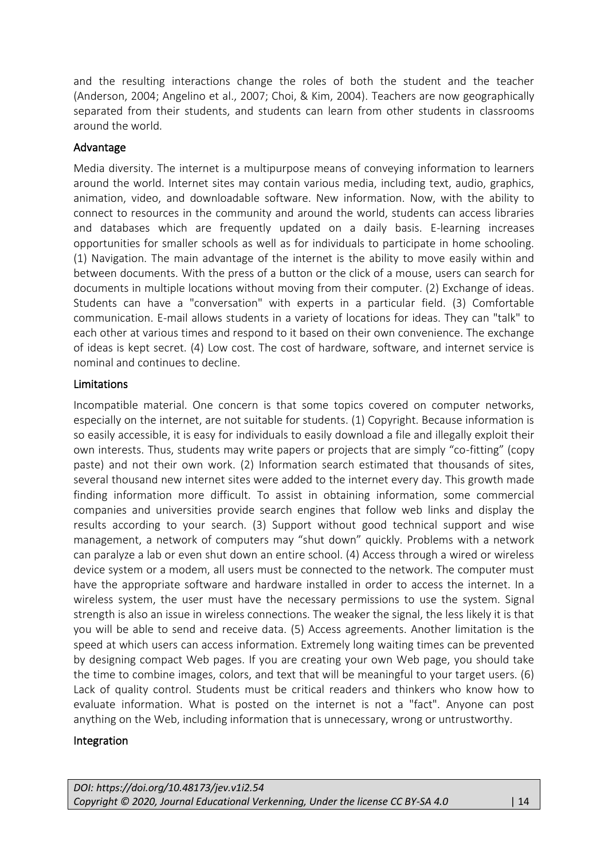and the resulting interactions change the roles of both the student and the teacher (Anderson, 2004; Angelino et al., 2007; Choi, & Kim, 2004). Teachers are now geographically separated from their students, and students can learn from other students in classrooms around the world.

# Advantage

Media diversity. The internet is a multipurpose means of conveying information to learners around the world. Internet sites may contain various media, including text, audio, graphics, animation, video, and downloadable software. New information. Now, with the ability to connect to resources in the community and around the world, students can access libraries and databases which are frequently updated on a daily basis. E-learning increases opportunities for smaller schools as well as for individuals to participate in home schooling. (1) Navigation. The main advantage of the internet is the ability to move easily within and between documents. With the press of a button or the click of a mouse, users can search for documents in multiple locations without moving from their computer. (2) Exchange of ideas. Students can have a "conversation" with experts in a particular field. (3) Comfortable communication. E-mail allows students in a variety of locations for ideas. They can "talk" to each other at various times and respond to it based on their own convenience. The exchange of ideas is kept secret. (4) Low cost. The cost of hardware, software, and internet service is nominal and continues to decline.

# Limitations

Incompatible material. One concern is that some topics covered on computer networks, especially on the internet, are not suitable for students. (1) Copyright. Because information is so easily accessible, it is easy for individuals to easily download a file and illegally exploit their own interests. Thus, students may write papers or projects that are simply "co-fitting" (copy paste) and not their own work. (2) Information search estimated that thousands of sites, several thousand new internet sites were added to the internet every day. This growth made finding information more difficult. To assist in obtaining information, some commercial companies and universities provide search engines that follow web links and display the results according to your search. (3) Support without good technical support and wise management, a network of computers may "shut down" quickly. Problems with a network can paralyze a lab or even shut down an entire school. (4) Access through a wired or wireless device system or a modem, all users must be connected to the network. The computer must have the appropriate software and hardware installed in order to access the internet. In a wireless system, the user must have the necessary permissions to use the system. Signal strength is also an issue in wireless connections. The weaker the signal, the less likely it is that you will be able to send and receive data. (5) Access agreements. Another limitation is the speed at which users can access information. Extremely long waiting times can be prevented by designing compact Web pages. If you are creating your own Web page, you should take the time to combine images, colors, and text that will be meaningful to your target users. (6) Lack of quality control. Students must be critical readers and thinkers who know how to evaluate information. What is posted on the internet is not a "fact". Anyone can post anything on the Web, including information that is unnecessary, wrong or untrustworthy.

# Integration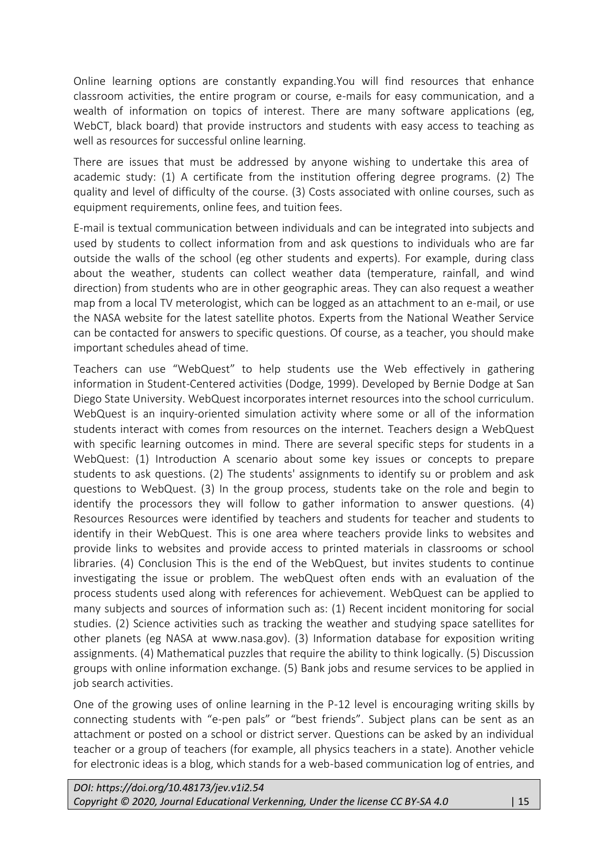Online learning options are constantly expanding.You will find resources that enhance classroom activities, the entire program or course, e-mails for easy communication, and a wealth of information on topics of interest. There are many software applications (eg, WebCT, black board) that provide instructors and students with easy access to teaching as well as resources for successful online learning.

There are issues that must be addressed by anyone wishing to undertake this area of academic study: (1) A certificate from the institution offering degree programs. (2) The quality and level of difficulty of the course. (3) Costs associated with online courses, such as equipment requirements, online fees, and tuition fees.

E-mail is textual communication between individuals and can be integrated into subjects and used by students to collect information from and ask questions to individuals who are far outside the walls of the school (eg other students and experts). For example, during class about the weather, students can collect weather data (temperature, rainfall, and wind direction) from students who are in other geographic areas. They can also request a weather map from a local TV meterologist, which can be logged as an attachment to an e-mail, or use the NASA website for the latest satellite photos. Experts from the National Weather Service can be contacted for answers to specific questions. Of course, as a teacher, you should make important schedules ahead of time.

Teachers can use "WebQuest" to help students use the Web effectively in gathering information in Student-Centered activities (Dodge, 1999). Developed by Bernie Dodge at San Diego State University. WebQuest incorporates internet resources into the school curriculum. WebQuest is an inquiry-oriented simulation activity where some or all of the information students interact with comes from resources on the internet. Teachers design a WebQuest with specific learning outcomes in mind. There are several specific steps for students in a WebQuest: (1) Introduction A scenario about some key issues or concepts to prepare students to ask questions. (2) The students' assignments to identify su or problem and ask questions to WebQuest. (3) In the group process, students take on the role and begin to identify the processors they will follow to gather information to answer questions. (4) Resources Resources were identified by teachers and students for teacher and students to identify in their WebQuest. This is one area where teachers provide links to websites and provide links to websites and provide access to printed materials in classrooms or school libraries. (4) Conclusion This is the end of the WebQuest, but invites students to continue investigating the issue or problem. The webQuest often ends with an evaluation of the process students used along with references for achievement. WebQuest can be applied to many subjects and sources of information such as: (1) Recent incident monitoring for social studies. (2) Science activities such as tracking the weather and studying space satellites for other planets (eg NASA at www.nasa.gov). (3) Information database for exposition writing assignments. (4) Mathematical puzzles that require the ability to think logically. (5) Discussion groups with online information exchange. (5) Bank jobs and resume services to be applied in job search activities.

One of the growing uses of online learning in the P-12 level is encouraging writing skills by connecting students with "e-pen pals" or "best friends". Subject plans can be sent as an attachment or posted on a school or district server. Questions can be asked by an individual teacher or a group of teachers (for example, all physics teachers in a state). Another vehicle for electronic ideas is a blog, which stands for a web-based communication log of entries, and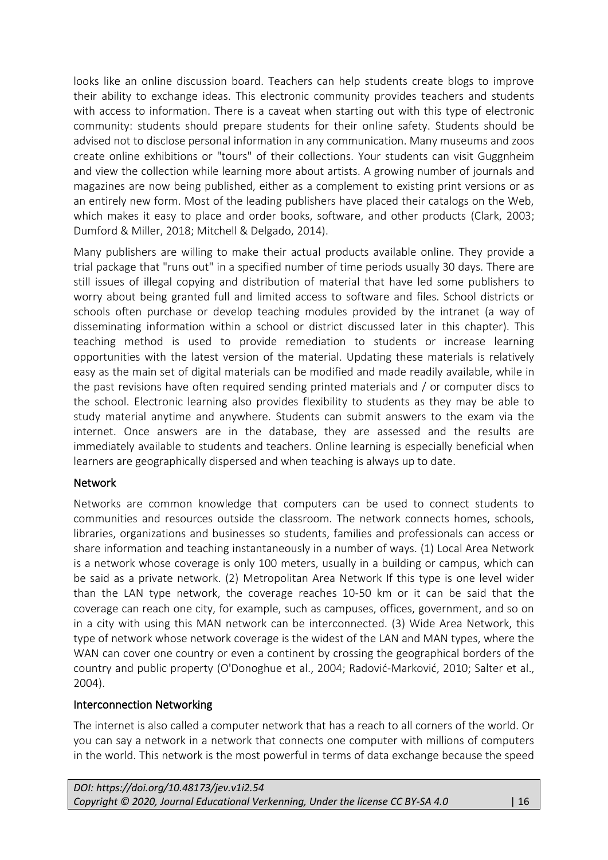looks like an online discussion board. Teachers can help students create blogs to improve their ability to exchange ideas. This electronic community provides teachers and students with access to information. There is a caveat when starting out with this type of electronic community: students should prepare students for their online safety. Students should be advised not to disclose personal information in any communication. Many museums and zoos create online exhibitions or "tours" of their collections. Your students can visit Guggnheim and view the collection while learning more about artists. A growing number of journals and magazines are now being published, either as a complement to existing print versions or as an entirely new form. Most of the leading publishers have placed their catalogs on the Web, which makes it easy to place and order books, software, and other products (Clark, 2003; Dumford & Miller, 2018; Mitchell & Delgado, 2014).

Many publishers are willing to make their actual products available online. They provide a trial package that "runs out" in a specified number of time periods usually 30 days. There are still issues of illegal copying and distribution of material that have led some publishers to worry about being granted full and limited access to software and files. School districts or schools often purchase or develop teaching modules provided by the intranet (a way of disseminating information within a school or district discussed later in this chapter). This teaching method is used to provide remediation to students or increase learning opportunities with the latest version of the material. Updating these materials is relatively easy as the main set of digital materials can be modified and made readily available, while in the past revisions have often required sending printed materials and / or computer discs to the school. Electronic learning also provides flexibility to students as they may be able to study material anytime and anywhere. Students can submit answers to the exam via the internet. Once answers are in the database, they are assessed and the results are immediately available to students and teachers. Online learning is especially beneficial when learners are geographically dispersed and when teaching is always up to date.

# Network

Networks are common knowledge that computers can be used to connect students to communities and resources outside the classroom. The network connects homes, schools, libraries, organizations and businesses so students, families and professionals can access or share information and teaching instantaneously in a number of ways. (1) Local Area Network is a network whose coverage is only 100 meters, usually in a building or campus, which can be said as a private network. (2) Metropolitan Area Network If this type is one level wider than the LAN type network, the coverage reaches 10-50 km or it can be said that the coverage can reach one city, for example, such as campuses, offices, government, and so on in a city with using this MAN network can be interconnected. (3) Wide Area Network, this type of network whose network coverage is the widest of the LAN and MAN types, where the WAN can cover one country or even a continent by crossing the geographical borders of the country and public property (O'Donoghue et al., 2004; Radović-Marković, 2010; Salter et al., 2004).

### Interconnection Networking

The internet is also called a computer network that has a reach to all corners of the world. Or you can say a network in a network that connects one computer with millions of computers in the world. This network is the most powerful in terms of data exchange because the speed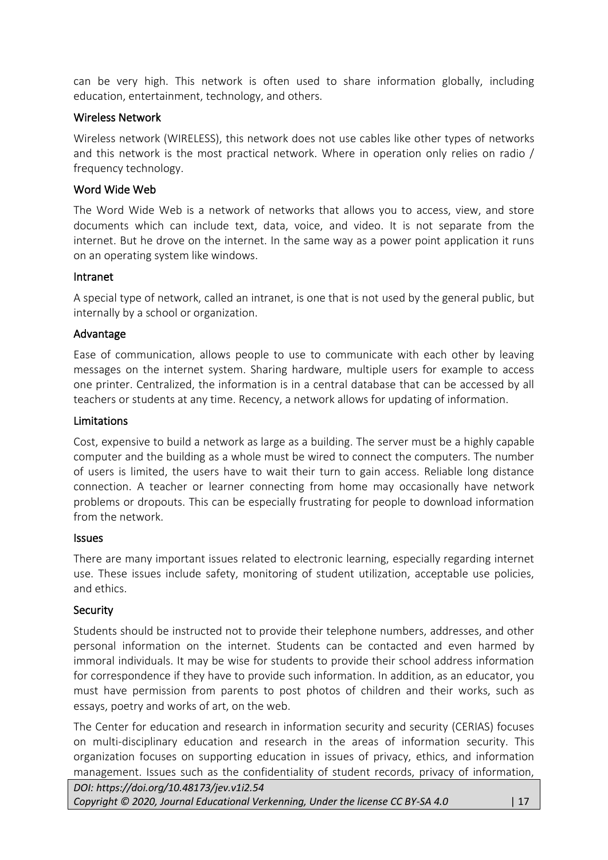can be very high. This network is often used to share information globally, including education, entertainment, technology, and others.

### Wireless Network

Wireless network (WIRELESS), this network does not use cables like other types of networks and this network is the most practical network. Where in operation only relies on radio / frequency technology.

### Word Wide Web

The Word Wide Web is a network of networks that allows you to access, view, and store documents which can include text, data, voice, and video. It is not separate from the internet. But he drove on the internet. In the same way as a power point application it runs on an operating system like windows.

#### Intranet

A special type of network, called an intranet, is one that is not used by the general public, but internally by a school or organization.

#### Advantage

Ease of communication, allows people to use to communicate with each other by leaving messages on the internet system. Sharing hardware, multiple users for example to access one printer. Centralized, the information is in a central database that can be accessed by all teachers or students at any time. Recency, a network allows for updating of information.

#### Limitations

Cost, expensive to build a network as large as a building. The server must be a highly capable computer and the building as a whole must be wired to connect the computers. The number of users is limited, the users have to wait their turn to gain access. Reliable long distance connection. A teacher or learner connecting from home may occasionally have network problems or dropouts. This can be especially frustrating for people to download information from the network.

#### Issues

There are many important issues related to electronic learning, especially regarding internet use. These issues include safety, monitoring of student utilization, acceptable use policies, and ethics.

### Security

Students should be instructed not to provide their telephone numbers, addresses, and other personal information on the internet. Students can be contacted and even harmed by immoral individuals. It may be wise for students to provide their school address information for correspondence if they have to provide such information. In addition, as an educator, you must have permission from parents to post photos of children and their works, such as essays, poetry and works of art, on the web.

The Center for education and research in information security and security (CERIAS) focuses on multi-disciplinary education and research in the areas of information security. This organization focuses on supporting education in issues of privacy, ethics, and information management. Issues such as the confidentiality of student records, privacy of information,

*DOI: https://doi.org/10.48173/jev.v1i2.54*

*Copyright © 2020, Journal Educational Verkenning, Under the license CC BY-SA 4.0* | 17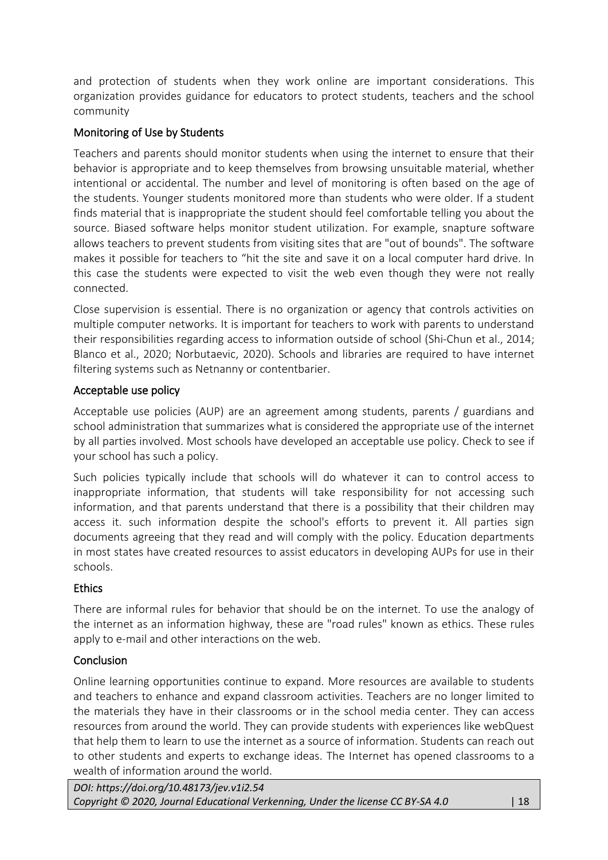and protection of students when they work online are important considerations. This organization provides guidance for educators to protect students, teachers and the school community

# Monitoring of Use by Students

Teachers and parents should monitor students when using the internet to ensure that their behavior is appropriate and to keep themselves from browsing unsuitable material, whether intentional or accidental. The number and level of monitoring is often based on the age of the students. Younger students monitored more than students who were older. If a student finds material that is inappropriate the student should feel comfortable telling you about the source. Biased software helps monitor student utilization. For example, snapture software allows teachers to prevent students from visiting sites that are "out of bounds". The software makes it possible for teachers to "hit the site and save it on a local computer hard drive. In this case the students were expected to visit the web even though they were not really connected.

Close supervision is essential. There is no organization or agency that controls activities on multiple computer networks. It is important for teachers to work with parents to understand their responsibilities regarding access to information outside of school (Shi-Chun et al., 2014; Blanco et al., 2020; Norbutaevic, 2020). Schools and libraries are required to have internet filtering systems such as Netnanny or contentbarier.

# Acceptable use policy

Acceptable use policies (AUP) are an agreement among students, parents / guardians and school administration that summarizes what is considered the appropriate use of the internet by all parties involved. Most schools have developed an acceptable use policy. Check to see if your school has such a policy.

Such policies typically include that schools will do whatever it can to control access to inappropriate information, that students will take responsibility for not accessing such information, and that parents understand that there is a possibility that their children may access it. such information despite the school's efforts to prevent it. All parties sign documents agreeing that they read and will comply with the policy. Education departments in most states have created resources to assist educators in developing AUPs for use in their schools.

# **Ethics**

There are informal rules for behavior that should be on the internet. To use the analogy of the internet as an information highway, these are "road rules" known as ethics. These rules apply to e-mail and other interactions on the web.

# **Conclusion**

Online learning opportunities continue to expand. More resources are available to students and teachers to enhance and expand classroom activities. Teachers are no longer limited to the materials they have in their classrooms or in the school media center. They can access resources from around the world. They can provide students with experiences like webQuest that help them to learn to use the internet as a source of information. Students can reach out to other students and experts to exchange ideas. The Internet has opened classrooms to a wealth of information around the world.

*DOI: https://doi.org/10.48173/jev.v1i2.54 Copyright © 2020, Journal Educational Verkenning, Under the license CC BY-SA 4.0* | 18